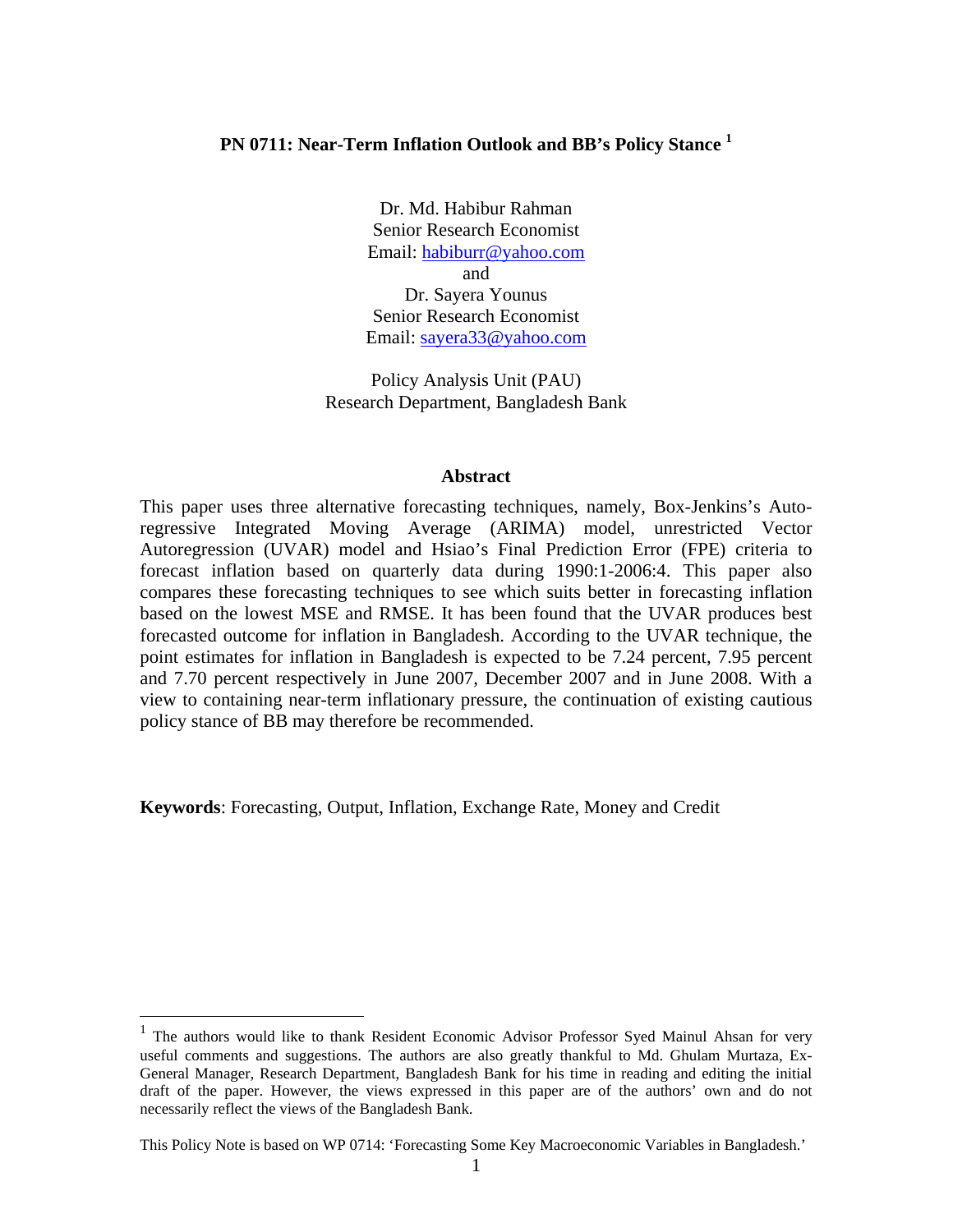## **PN 0711: Near-Term Inflation Outlook and BB's Policy Stance 1**

Dr. Md. Habibur Rahman Senior Research Economist Email: habiburr@yahoo.com and Dr. Sayera Younus Senior Research Economist Email: sayera33@yahoo.com

Policy Analysis Unit (PAU) Research Department, Bangladesh Bank

#### **Abstract**

This paper uses three alternative forecasting techniques, namely, Box-Jenkins's Autoregressive Integrated Moving Average (ARIMA) model, unrestricted Vector Autoregression (UVAR) model and Hsiao's Final Prediction Error (FPE) criteria to forecast inflation based on quarterly data during 1990:1-2006:4. This paper also compares these forecasting techniques to see which suits better in forecasting inflation based on the lowest MSE and RMSE. It has been found that the UVAR produces best forecasted outcome for inflation in Bangladesh. According to the UVAR technique, the point estimates for inflation in Bangladesh is expected to be 7.24 percent, 7.95 percent and 7.70 percent respectively in June 2007, December 2007 and in June 2008. With a view to containing near-term inflationary pressure, the continuation of existing cautious policy stance of BB may therefore be recommended.

**Keywords**: Forecasting, Output, Inflation, Exchange Rate, Money and Credit

 $\overline{a}$ 

<sup>&</sup>lt;sup>1</sup> The authors would like to thank Resident Economic Advisor Professor Syed Mainul Ahsan for very useful comments and suggestions. The authors are also greatly thankful to Md. Ghulam Murtaza, Ex-General Manager, Research Department, Bangladesh Bank for his time in reading and editing the initial draft of the paper. However, the views expressed in this paper are of the authors' own and do not necessarily reflect the views of the Bangladesh Bank.

This Policy Note is based on WP 0714: 'Forecasting Some Key Macroeconomic Variables in Bangladesh.'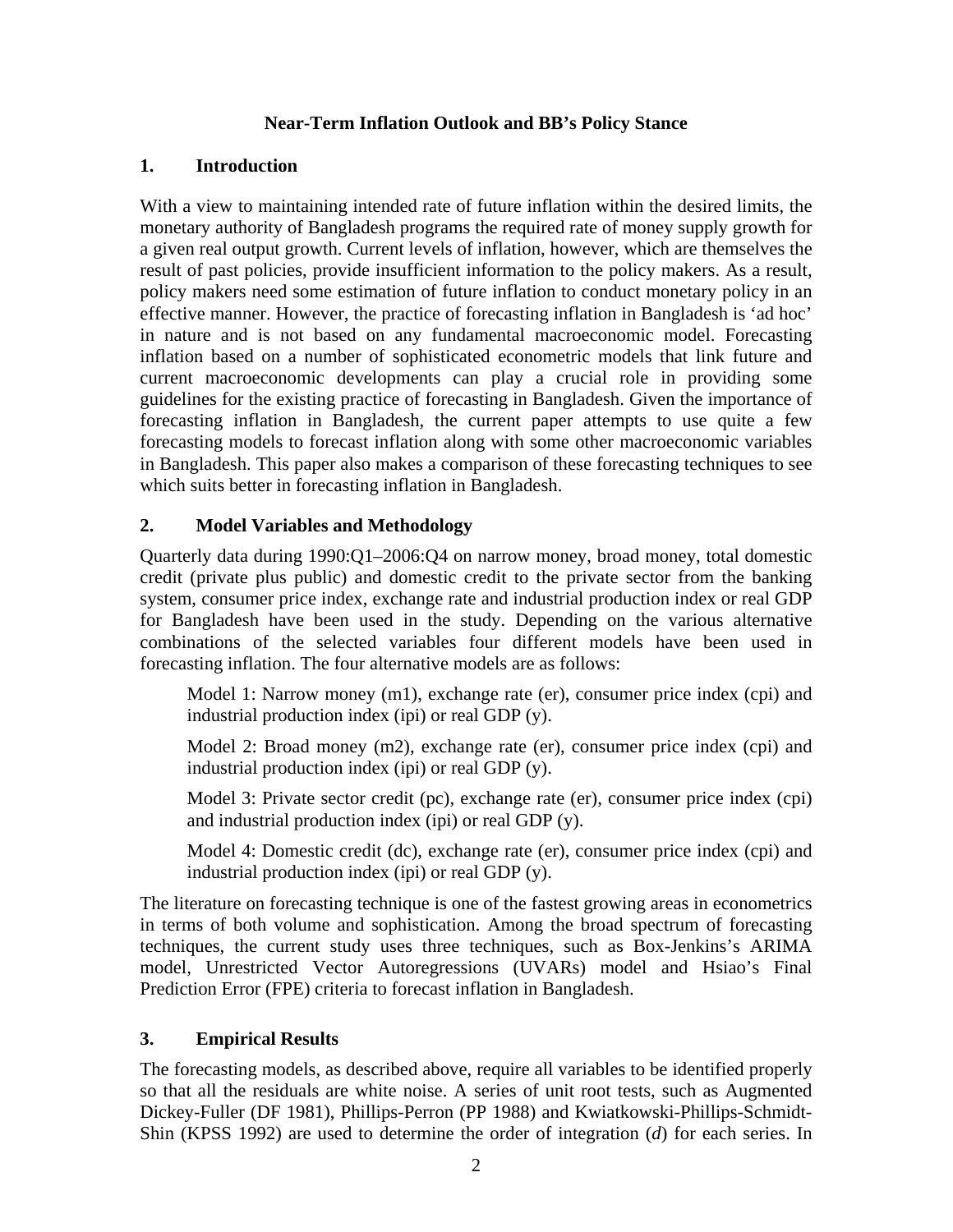## **Near-Term Inflation Outlook and BB's Policy Stance**

## **1. Introduction**

With a view to maintaining intended rate of future inflation within the desired limits, the monetary authority of Bangladesh programs the required rate of money supply growth for a given real output growth. Current levels of inflation, however, which are themselves the result of past policies, provide insufficient information to the policy makers. As a result, policy makers need some estimation of future inflation to conduct monetary policy in an effective manner. However, the practice of forecasting inflation in Bangladesh is 'ad hoc' in nature and is not based on any fundamental macroeconomic model. Forecasting inflation based on a number of sophisticated econometric models that link future and current macroeconomic developments can play a crucial role in providing some guidelines for the existing practice of forecasting in Bangladesh. Given the importance of forecasting inflation in Bangladesh, the current paper attempts to use quite a few forecasting models to forecast inflation along with some other macroeconomic variables in Bangladesh. This paper also makes a comparison of these forecasting techniques to see which suits better in forecasting inflation in Bangladesh.

## **2. Model Variables and Methodology**

Quarterly data during 1990:Q1–2006:Q4 on narrow money, broad money, total domestic credit (private plus public) and domestic credit to the private sector from the banking system, consumer price index, exchange rate and industrial production index or real GDP for Bangladesh have been used in the study. Depending on the various alternative combinations of the selected variables four different models have been used in forecasting inflation. The four alternative models are as follows:

Model 1: Narrow money (m1), exchange rate (er), consumer price index (cpi) and industrial production index (ipi) or real GDP (y).

Model 2: Broad money (m2), exchange rate (er), consumer price index (cpi) and industrial production index (ipi) or real GDP (y).

Model 3: Private sector credit (pc), exchange rate (er), consumer price index (cpi) and industrial production index (ipi) or real GDP (y).

Model 4: Domestic credit (dc), exchange rate (er), consumer price index (cpi) and industrial production index (ipi) or real GDP (y).

The literature on forecasting technique is one of the fastest growing areas in econometrics in terms of both volume and sophistication. Among the broad spectrum of forecasting techniques, the current study uses three techniques, such as Box-Jenkins's ARIMA model, Unrestricted Vector Autoregressions (UVARs) model and Hsiao's Final Prediction Error (FPE) criteria to forecast inflation in Bangladesh.

## **3. Empirical Results**

The forecasting models, as described above, require all variables to be identified properly so that all the residuals are white noise. A series of unit root tests, such as Augmented Dickey-Fuller (DF 1981), Phillips-Perron (PP 1988) and Kwiatkowski-Phillips-Schmidt-Shin (KPSS 1992) are used to determine the order of integration (*d*) for each series. In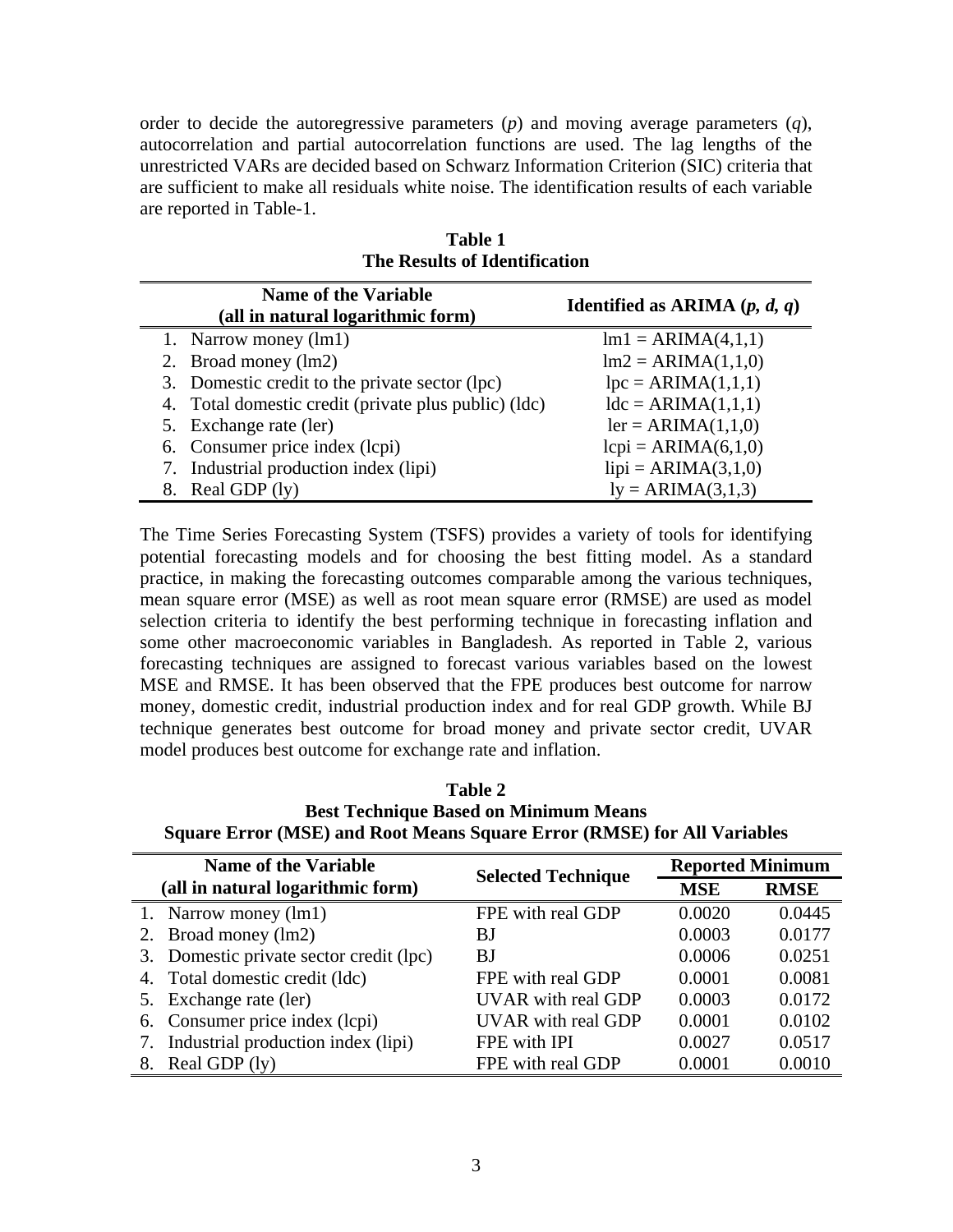order to decide the autoregressive parameters (*p*) and moving average parameters (*q*), autocorrelation and partial autocorrelation functions are used. The lag lengths of the unrestricted VARs are decided based on Schwarz Information Criterion (SIC) criteria that are sufficient to make all residuals white noise. The identification results of each variable are reported in Table-1.

| <b>Name of the Variable</b><br>(all in natural logarithmic form) | <b>Identified as ARIMA</b> $(p, d, q)$ |  |  |  |  |  |
|------------------------------------------------------------------|----------------------------------------|--|--|--|--|--|
| 1. Narrow money (lm1)                                            | $lm1 = ARIMA(4,1,1)$                   |  |  |  |  |  |
| 2. Broad money (lm2)                                             | $Im2 = ARIMA(1,1,0)$                   |  |  |  |  |  |
| 3. Domestic credit to the private sector (lpc)                   | $lpc = ARIMA(1,1,1)$                   |  |  |  |  |  |
| 4. Total domestic credit (private plus public) (ldc)             | $ldc = ARIMA(1,1,1)$                   |  |  |  |  |  |
| 5. Exchange rate (ler)                                           | $ler = ARIMA(1,1,0)$                   |  |  |  |  |  |
| 6. Consumer price index (lcpi)                                   | $lcpi = ARIMA(6,1,0)$                  |  |  |  |  |  |
| 7. Industrial production index (lipi)                            | $lipi = ARIMA(3,1,0)$                  |  |  |  |  |  |
| Real GDP (ly)<br>8.                                              | $ly = ARIMA(3,1,3)$                    |  |  |  |  |  |

**Table 1 The Results of Identification** 

The Time Series Forecasting System (TSFS) provides a variety of tools for identifying potential forecasting models and for choosing the best fitting model. As a standard practice, in making the forecasting outcomes comparable among the various techniques, mean square error (MSE) as well as root mean square error (RMSE) are used as model selection criteria to identify the best performing technique in forecasting inflation and some other macroeconomic variables in Bangladesh. As reported in Table 2, various forecasting techniques are assigned to forecast various variables based on the lowest MSE and RMSE. It has been observed that the FPE produces best outcome for narrow money, domestic credit, industrial production index and for real GDP growth. While BJ technique generates best outcome for broad money and private sector credit, UVAR model produces best outcome for exchange rate and inflation.

**Table 2 Best Technique Based on Minimum Means Square Error (MSE) and Root Means Square Error (RMSE) for All Variables** 

| <b>Name of the Variable</b><br>(all in natural logarithmic form) |                                         | <b>Selected Technique</b> | <b>Reported Minimum</b> |             |  |
|------------------------------------------------------------------|-----------------------------------------|---------------------------|-------------------------|-------------|--|
|                                                                  |                                         |                           | <b>MSE</b>              | <b>RMSE</b> |  |
|                                                                  | 1. Narrow money (lm1)                   | FPE with real GDP         | 0.0020                  | 0.0445      |  |
|                                                                  | 2. Broad money (lm2)                    | BJ                        | 0.0003                  | 0.0177      |  |
|                                                                  | 3. Domestic private sector credit (lpc) | BJ                        | 0.0006                  | 0.0251      |  |
|                                                                  | 4. Total domestic credit (ldc)          | FPE with real GDP         | 0.0001                  | 0.0081      |  |
|                                                                  | 5. Exchange rate (ler)                  | <b>UVAR</b> with real GDP | 0.0003                  | 0.0172      |  |
|                                                                  | 6. Consumer price index (lcpi)          | <b>UVAR</b> with real GDP | 0.0001                  | 0.0102      |  |
|                                                                  | 7. Industrial production index (lipi)   | FPE with IPI              | 0.0027                  | 0.0517      |  |
| 8.                                                               | Real GDP (ly)                           | FPE with real GDP         | 0.0001                  | 0.0010      |  |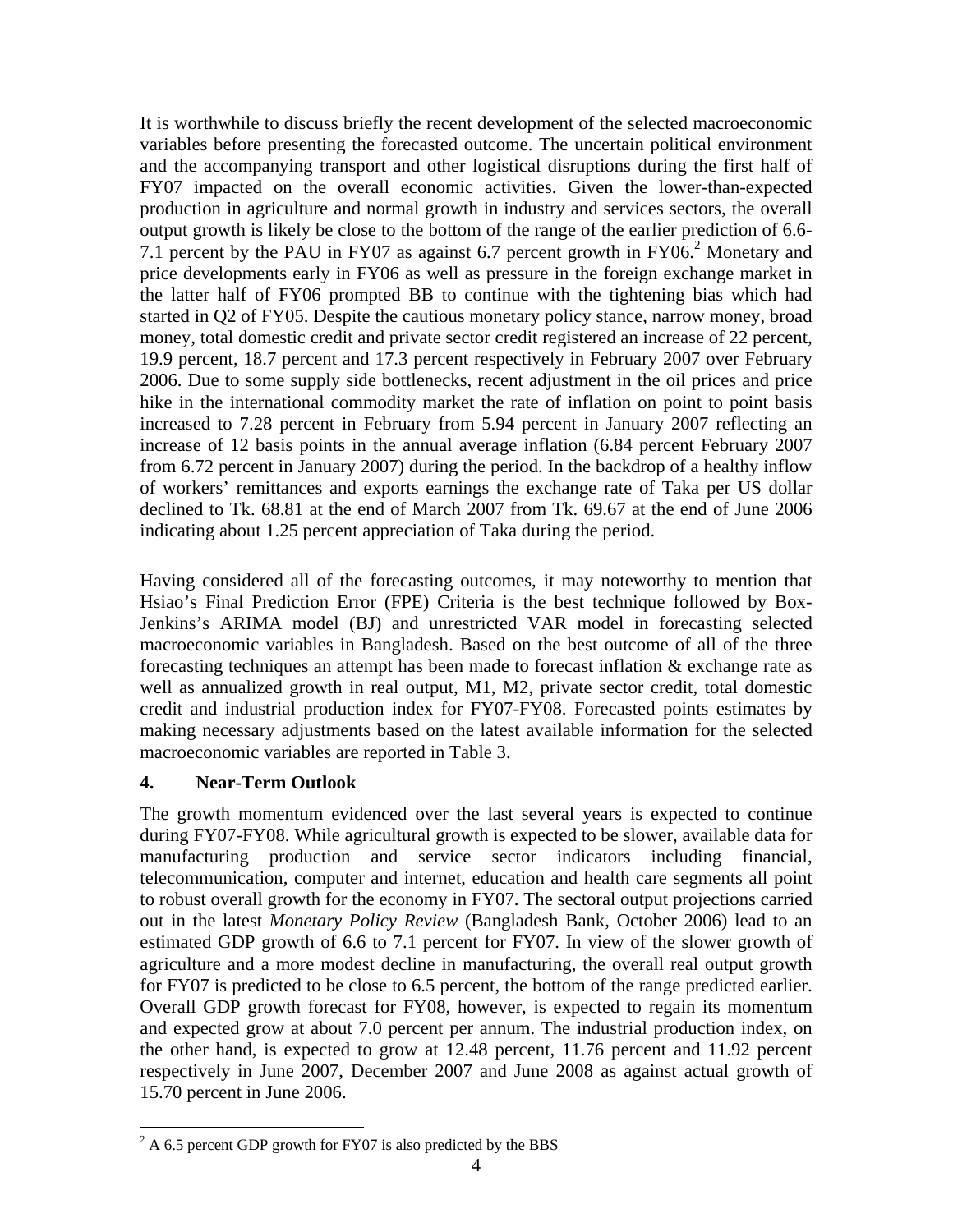It is worthwhile to discuss briefly the recent development of the selected macroeconomic variables before presenting the forecasted outcome. The uncertain political environment and the accompanying transport and other logistical disruptions during the first half of FY07 impacted on the overall economic activities. Given the lower-than-expected production in agriculture and normal growth in industry and services sectors, the overall output growth is likely be close to the bottom of the range of the earlier prediction of 6.6- 7.1 percent by the PAU in FY07 as against 6.7 percent growth in FY06.<sup>2</sup> Monetary and price developments early in FY06 as well as pressure in the foreign exchange market in the latter half of FY06 prompted BB to continue with the tightening bias which had started in Q2 of FY05. Despite the cautious monetary policy stance, narrow money, broad money, total domestic credit and private sector credit registered an increase of 22 percent, 19.9 percent, 18.7 percent and 17.3 percent respectively in February 2007 over February 2006. Due to some supply side bottlenecks, recent adjustment in the oil prices and price hike in the international commodity market the rate of inflation on point to point basis increased to 7.28 percent in February from 5.94 percent in January 2007 reflecting an increase of 12 basis points in the annual average inflation (6.84 percent February 2007 from 6.72 percent in January 2007) during the period. In the backdrop of a healthy inflow of workers' remittances and exports earnings the exchange rate of Taka per US dollar declined to Tk. 68.81 at the end of March 2007 from Tk. 69.67 at the end of June 2006 indicating about 1.25 percent appreciation of Taka during the period.

Having considered all of the forecasting outcomes, it may noteworthy to mention that Hsiao's Final Prediction Error (FPE) Criteria is the best technique followed by Box-Jenkins's ARIMA model (BJ) and unrestricted VAR model in forecasting selected macroeconomic variables in Bangladesh. Based on the best outcome of all of the three forecasting techniques an attempt has been made to forecast inflation & exchange rate as well as annualized growth in real output, M1, M2, private sector credit, total domestic credit and industrial production index for FY07-FY08. Forecasted points estimates by making necessary adjustments based on the latest available information for the selected macroeconomic variables are reported in Table 3.

# **4. Near-Term Outlook**

 $\overline{a}$ 

The growth momentum evidenced over the last several years is expected to continue during FY07-FY08. While agricultural growth is expected to be slower, available data for manufacturing production and service sector indicators including financial, telecommunication, computer and internet, education and health care segments all point to robust overall growth for the economy in FY07. The sectoral output projections carried out in the latest *Monetary Policy Review* (Bangladesh Bank, October 2006) lead to an estimated GDP growth of 6.6 to 7.1 percent for FY07. In view of the slower growth of agriculture and a more modest decline in manufacturing, the overall real output growth for FY07 is predicted to be close to 6.5 percent, the bottom of the range predicted earlier. Overall GDP growth forecast for FY08, however, is expected to regain its momentum and expected grow at about 7.0 percent per annum. The industrial production index, on the other hand, is expected to grow at 12.48 percent, 11.76 percent and 11.92 percent respectively in June 2007, December 2007 and June 2008 as against actual growth of 15.70 percent in June 2006.

 $^{2}$  A 6.5 percent GDP growth for FY07 is also predicted by the BBS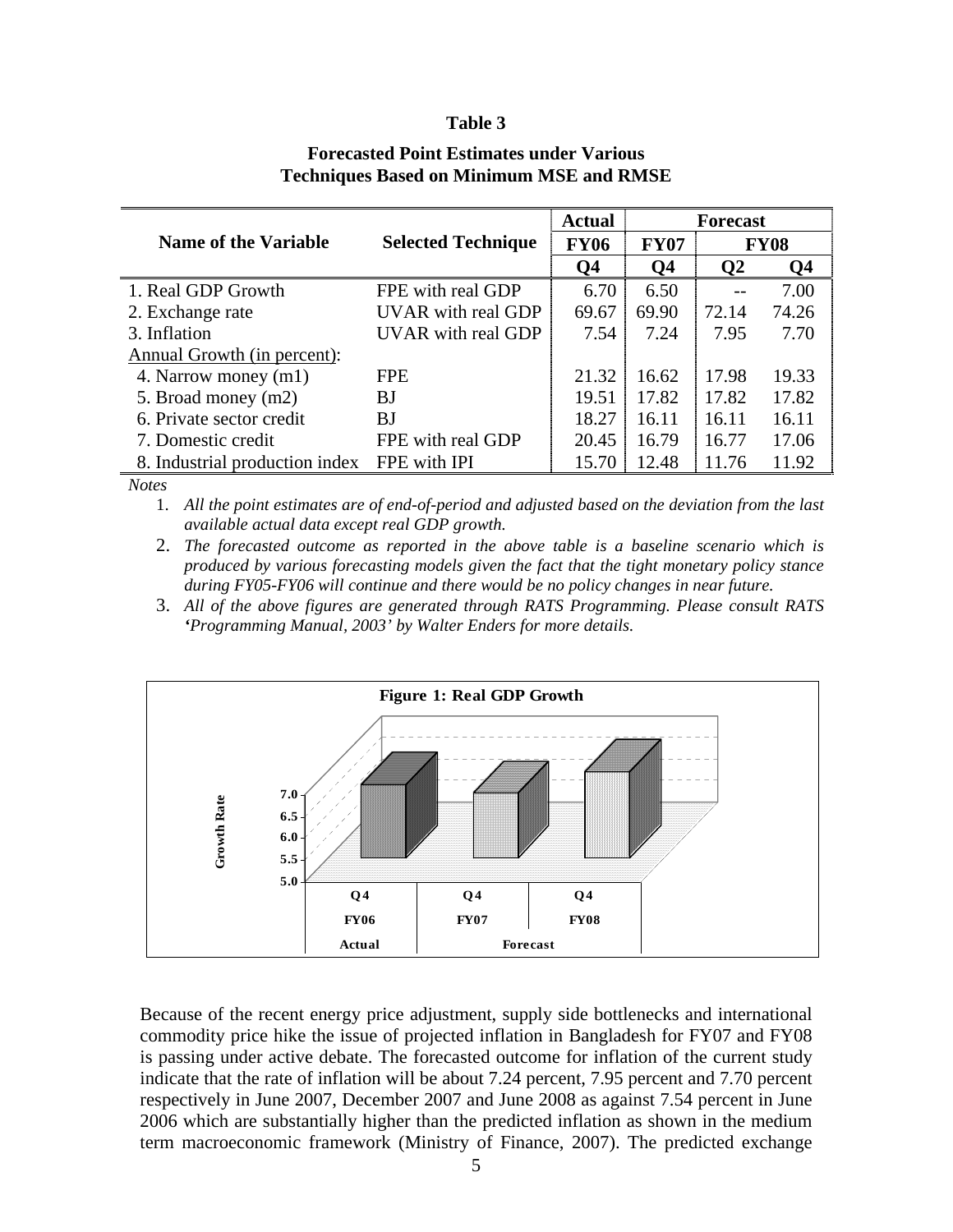#### **Table 3**

|                                | <b>Selected Technique</b> | <b>Actual</b> |                            |              | <b>Forecast</b> |  |
|--------------------------------|---------------------------|---------------|----------------------------|--------------|-----------------|--|
| <b>Name of the Variable</b>    |                           | <b>FY06</b>   | <b>FY07</b><br><b>FY08</b> |              |                 |  |
|                                |                           | Q4            | Q <sub>4</sub>             | $\mathbf{Q}$ | Q4              |  |
| 1. Real GDP Growth             | FPE with real GDP         | 6.70          | 6.50                       |              | 7.00            |  |
| 2. Exchange rate               | UVAR with real GDP        | 69.67         | 69.90                      | 72.14        | 74.26           |  |
| 3. Inflation                   | <b>UVAR</b> with real GDP | 7.54          | 7.24                       | 7.95         | 7.70            |  |
| Annual Growth (in percent):    |                           |               |                            |              |                 |  |
| 4. Narrow money (m1)           | <b>FPE</b>                | 21.32         | 16.62                      | 17.98        | 19.33           |  |
| 5. Broad money (m2)            | BJ                        | 19.51         | 17.82                      | 17.82        | 17.82           |  |
| 6. Private sector credit       | BJ                        | 18.27         | 16.11                      | 16.11        | 16.11           |  |
| 7. Domestic credit             | FPE with real GDP         | 20.45         | 16.79                      | 16.77        | 17.06           |  |
| 8. Industrial production index | FPE with IPI              | 15.70         | 12.48                      | 11.76        | 11.92           |  |

## **Forecasted Point Estimates under Various Techniques Based on Minimum MSE and RMSE**

*Notes*

1. *All the point estimates are of end-of-period and adjusted based on the deviation from the last available actual data except real GDP growth.* 

2. *The forecasted outcome as reported in the above table is a baseline scenario which is produced by various forecasting models given the fact that the tight monetary policy stance during FY05-FY06 will continue and there would be no policy changes in near future.*

3. *All of the above figures are generated through RATS Programming. Please consult RATS 'Programming Manual, 2003' by Walter Enders for more details.*



Because of the recent energy price adjustment, supply side bottlenecks and international commodity price hike the issue of projected inflation in Bangladesh for FY07 and FY08 is passing under active debate. The forecasted outcome for inflation of the current study indicate that the rate of inflation will be about 7.24 percent, 7.95 percent and 7.70 percent respectively in June 2007, December 2007 and June 2008 as against 7.54 percent in June 2006 which are substantially higher than the predicted inflation as shown in the medium term macroeconomic framework (Ministry of Finance, 2007). The predicted exchange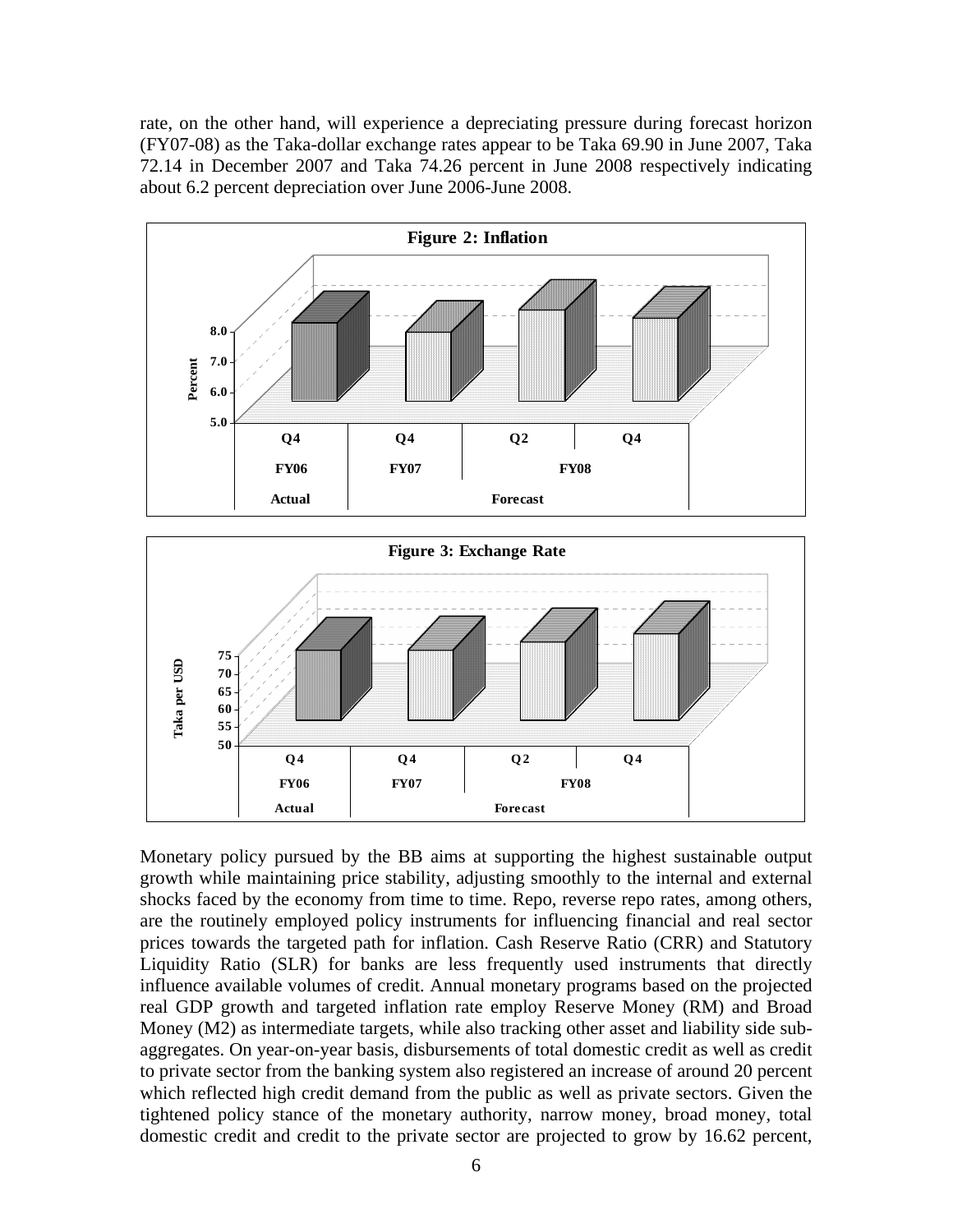rate, on the other hand, will experience a depreciating pressure during forecast horizon (FY07-08) as the Taka-dollar exchange rates appear to be Taka 69.90 in June 2007, Taka 72.14 in December 2007 and Taka 74.26 percent in June 2008 respectively indicating about 6.2 percent depreciation over June 2006-June 2008.



Monetary policy pursued by the BB aims at supporting the highest sustainable output growth while maintaining price stability, adjusting smoothly to the internal and external shocks faced by the economy from time to time. Repo, reverse repo rates, among others, are the routinely employed policy instruments for influencing financial and real sector prices towards the targeted path for inflation. Cash Reserve Ratio (CRR) and Statutory Liquidity Ratio (SLR) for banks are less frequently used instruments that directly influence available volumes of credit. Annual monetary programs based on the projected real GDP growth and targeted inflation rate employ Reserve Money (RM) and Broad Money (M2) as intermediate targets, while also tracking other asset and liability side subaggregates. On year-on-year basis, disbursements of total domestic credit as well as credit to private sector from the banking system also registered an increase of around 20 percent which reflected high credit demand from the public as well as private sectors. Given the tightened policy stance of the monetary authority, narrow money, broad money, total domestic credit and credit to the private sector are projected to grow by 16.62 percent,

**FY06 FY07 FY08**

**Actual Forecast**